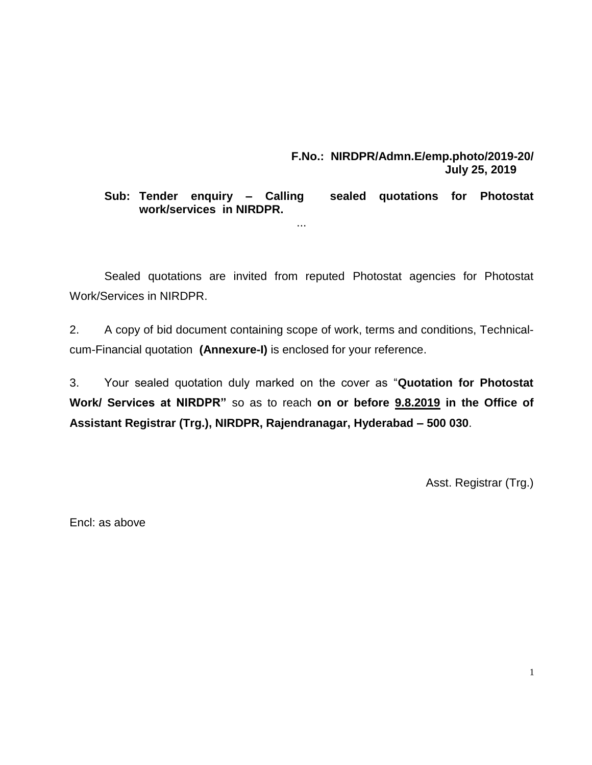### **F.No.: NIRDPR/Admn.E/emp.photo/2019-20/ July 25, 2019**

## **Sub: Tender enquiry – Calling sealed quotations for Photostat work/services in NIRDPR.**

Sealed quotations are invited from reputed Photostat agencies for Photostat Work/Services in NIRDPR.

...

2. A copy of bid document containing scope of work, terms and conditions, Technicalcum-Financial quotation **(Annexure-I)** is enclosed for your reference.

3. Your sealed quotation duly marked on the cover as "**Quotation for Photostat Work/ Services at NIRDPR"** so as to reach **on or before 9.8.2019 in the Office of Assistant Registrar (Trg.), NIRDPR, Rajendranagar, Hyderabad – 500 030**.

Asst. Registrar (Trg.)

Encl: as above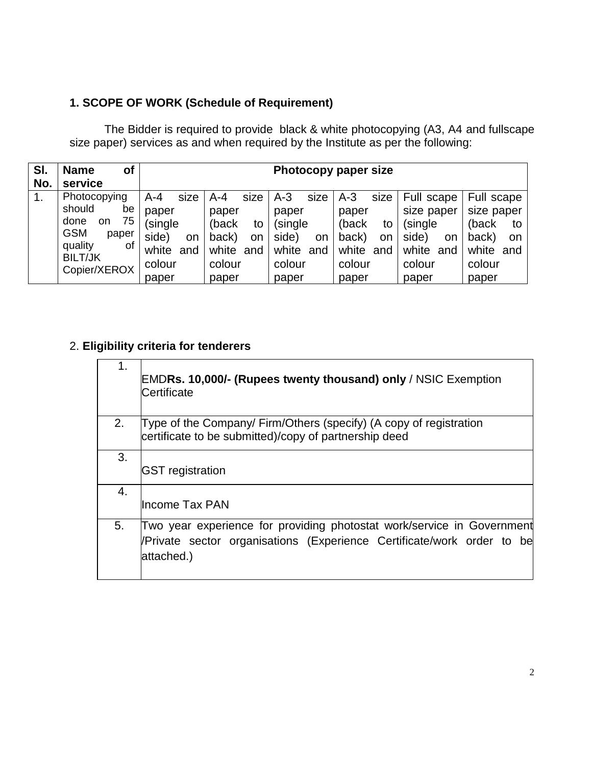# **1. SCOPE OF WORK (Schedule of Requirement)**

The Bidder is required to provide black & white photocopying (A3, A4 and fullscape size paper) services as and when required by the Institute as per the following:

| SI. | <b>Name</b><br>Οf                                                                                          | Photocopy paper size                                      |                                                            |                                                                  |                                                            |                                                             |                                                                    |
|-----|------------------------------------------------------------------------------------------------------------|-----------------------------------------------------------|------------------------------------------------------------|------------------------------------------------------------------|------------------------------------------------------------|-------------------------------------------------------------|--------------------------------------------------------------------|
| No. | service                                                                                                    |                                                           |                                                            |                                                                  |                                                            |                                                             |                                                                    |
| 1.  | Photocopying                                                                                               | $A - 4$<br>size                                           | size<br>A-4                                                | $A-3$<br>size                                                    | $A-3$<br>size                                              | Full scape                                                  | Full scape                                                         |
|     | should<br>be<br>75<br>done<br>on<br><b>GSM</b><br>paper<br>quality<br>οf<br><b>BILT/JK</b><br>Copier/XEROX | paper<br>(single<br>side)<br>on<br>white<br>and<br>colour | paper<br>(back<br>to<br>back)<br>on<br>white and<br>colour | paper<br>(single<br>side)<br><b>on</b><br>white<br>and<br>colour | paper<br>(back<br>to<br>back)<br>on<br>white and<br>colour | size paper<br>(single<br>side)<br>on<br>white and<br>colour | size paper<br>(back<br>to<br>back)<br>on<br>white<br>and<br>colour |
|     |                                                                                                            | paper                                                     | paper                                                      | paper                                                            | paper                                                      | paper                                                       | paper                                                              |

## 2. **Eligibility criteria for tenderers**

| 1. | <b>EMDRs. 10,000/- (Rupees twenty thousand) only / NSIC Exemption</b><br>Certificate                                                                           |
|----|----------------------------------------------------------------------------------------------------------------------------------------------------------------|
| 2. | Type of the Company/ Firm/Others (specify) (A copy of registration<br>certificate to be submitted)/copy of partnership deed                                    |
| 3. | <b>GST</b> registration                                                                                                                                        |
| 4. | lIncome Tax PAN                                                                                                                                                |
| 5. | Two year experience for providing photostat work/service in Government<br>/Private sector organisations (Experience Certificate/work order to be<br>attached.) |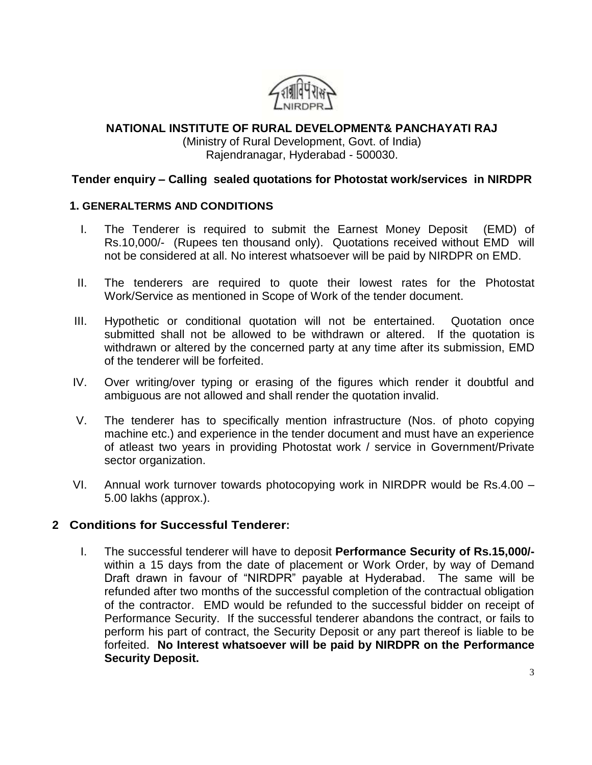

# **NATIONAL INSTITUTE OF RURAL DEVELOPMENT& PANCHAYATI RAJ** (Ministry of Rural Development, Govt. of India)

# Rajendranagar, Hyderabad - 500030.

## **Tender enquiry – Calling sealed quotations for Photostat work/services in NIRDPR**

#### **1. GENERALTERMS AND CONDITIONS**

- I. The Tenderer is required to submit the Earnest Money Deposit (EMD) of Rs.10,000/- (Rupees ten thousand only). Quotations received without EMD will not be considered at all. No interest whatsoever will be paid by NIRDPR on EMD.
- II. The tenderers are required to quote their lowest rates for the Photostat Work/Service as mentioned in Scope of Work of the tender document.
- III. Hypothetic or conditional quotation will not be entertained. Quotation once submitted shall not be allowed to be withdrawn or altered. If the quotation is withdrawn or altered by the concerned party at any time after its submission, EMD of the tenderer will be forfeited.
- IV. Over writing/over typing or erasing of the figures which render it doubtful and ambiguous are not allowed and shall render the quotation invalid.
- V. The tenderer has to specifically mention infrastructure (Nos. of photo copying machine etc.) and experience in the tender document and must have an experience of atleast two years in providing Photostat work / service in Government/Private sector organization.
- VI. Annual work turnover towards photocopying work in NIRDPR would be Rs.4.00 5.00 lakhs (approx.).

## **2 Conditions for Successful Tenderer:**

I. The successful tenderer will have to deposit **Performance Security of Rs.15,000/** within a 15 days from the date of placement or Work Order, by way of Demand Draft drawn in favour of "NIRDPR" payable at Hyderabad. The same will be refunded after two months of the successful completion of the contractual obligation of the contractor. EMD would be refunded to the successful bidder on receipt of Performance Security. If the successful tenderer abandons the contract, or fails to perform his part of contract, the Security Deposit or any part thereof is liable to be forfeited. **No Interest whatsoever will be paid by NIRDPR on the Performance Security Deposit.**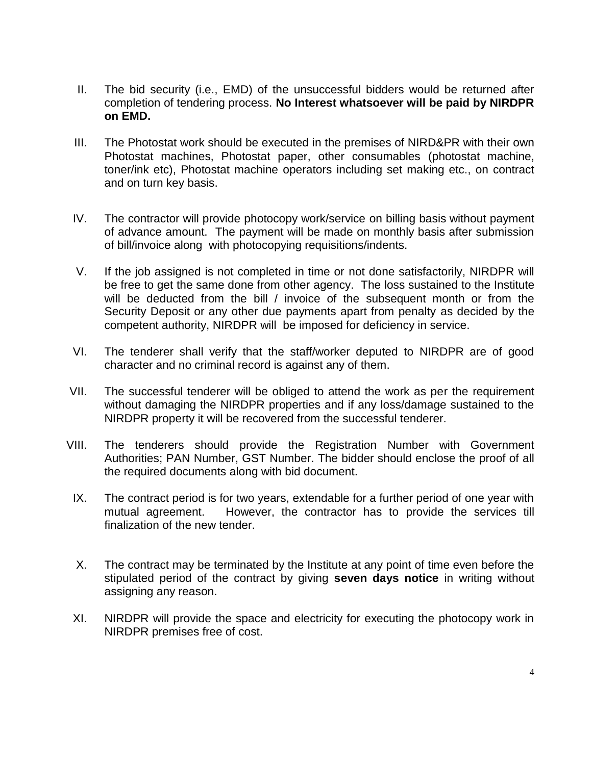- II. The bid security (i.e., EMD) of the unsuccessful bidders would be returned after completion of tendering process. **No Interest whatsoever will be paid by NIRDPR on EMD.**
- III. The Photostat work should be executed in the premises of NIRD&PR with their own Photostat machines, Photostat paper, other consumables (photostat machine, toner/ink etc), Photostat machine operators including set making etc., on contract and on turn key basis.
- IV. The contractor will provide photocopy work/service on billing basis without payment of advance amount. The payment will be made on monthly basis after submission of bill/invoice along with photocopying requisitions/indents.
- V. If the job assigned is not completed in time or not done satisfactorily, NIRDPR will be free to get the same done from other agency. The loss sustained to the Institute will be deducted from the bill / invoice of the subsequent month or from the Security Deposit or any other due payments apart from penalty as decided by the competent authority, NIRDPR will be imposed for deficiency in service.
- VI. The tenderer shall verify that the staff/worker deputed to NIRDPR are of good character and no criminal record is against any of them.
- VII. The successful tenderer will be obliged to attend the work as per the requirement without damaging the NIRDPR properties and if any loss/damage sustained to the NIRDPR property it will be recovered from the successful tenderer.
- VIII. The tenderers should provide the Registration Number with Government Authorities; PAN Number, GST Number. The bidder should enclose the proof of all the required documents along with bid document.
	- IX. The contract period is for two years, extendable for a further period of one year with mutual agreement. However, the contractor has to provide the services till finalization of the new tender.
	- X. The contract may be terminated by the Institute at any point of time even before the stipulated period of the contract by giving **seven days notice** in writing without assigning any reason.
	- XI. NIRDPR will provide the space and electricity for executing the photocopy work in NIRDPR premises free of cost.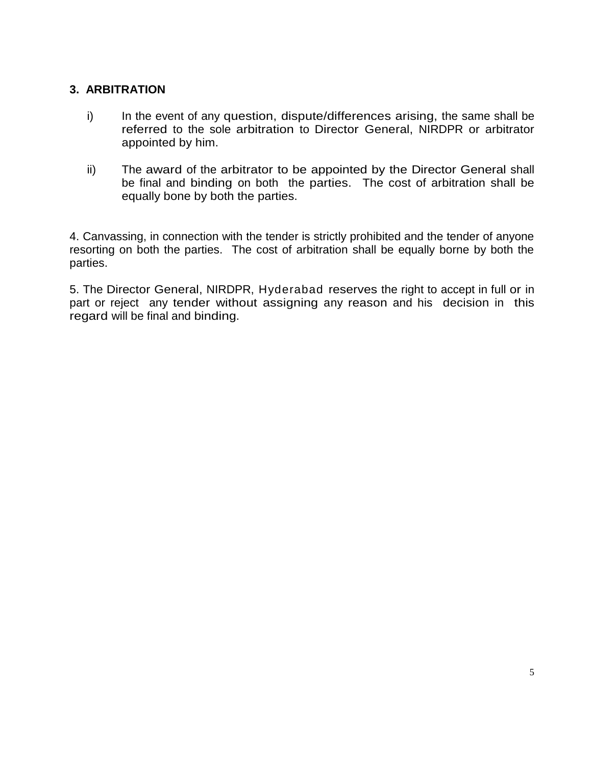## **3. ARBITRATION**

- i) In the event of any question, dispute/differences arising, the same shall be referred to the sole arbitration to Director General, NIRDPR or arbitrator appointed by him.
- ii) The award of the arbitrator to be appointed by the Director General shall be final and binding on both the parties. The cost of arbitration shall be equally bone by both the parties.

4. Canvassing, in connection with the tender is strictly prohibited and the tender of anyone resorting on both the parties. The cost of arbitration shall be equally borne by both the parties.

5. The Director General, NIRDPR, Hyderabad reserves the right to accept in full or in part or reject any tender without assigning any reason and his decision in this regard will be final and binding.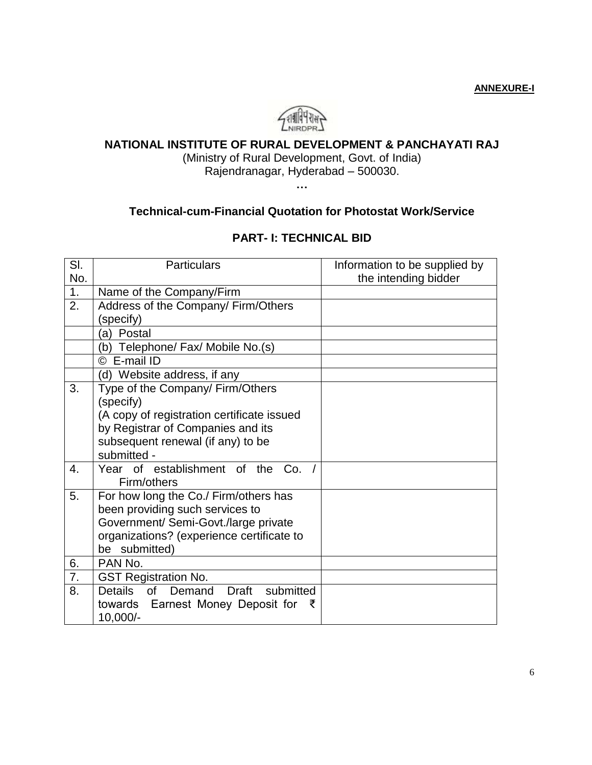**ANNEXURE-I**



# **NATIONAL INSTITUTE OF RURAL DEVELOPMENT & PANCHAYATI RAJ**

(Ministry of Rural Development, Govt. of India) Rajendranagar, Hyderabad – 500030.

**…**

#### **Technical-cum-Financial Quotation for Photostat Work/Service**

#### **PART- I: TECHNICAL BID**

| SI. | <b>Particulars</b>                                   | Information to be supplied by |  |  |
|-----|------------------------------------------------------|-------------------------------|--|--|
| No. |                                                      | the intending bidder          |  |  |
| 1.  | Name of the Company/Firm                             |                               |  |  |
| 2.  | Address of the Company/ Firm/Others                  |                               |  |  |
|     | (specify)                                            |                               |  |  |
|     | (a) Postal                                           |                               |  |  |
|     | (b) Telephone/ Fax/ Mobile No.(s)                    |                               |  |  |
|     | © E-mail ID                                          |                               |  |  |
|     | (d) Website address, if any                          |                               |  |  |
| 3.  | Type of the Company/ Firm/Others                     |                               |  |  |
|     | (specify)                                            |                               |  |  |
|     | (A copy of registration certificate issued           |                               |  |  |
|     | by Registrar of Companies and its                    |                               |  |  |
|     | subsequent renewal (if any) to be                    |                               |  |  |
|     | submitted -                                          |                               |  |  |
| 4.  | Year of establishment of the Co.                     |                               |  |  |
|     | Firm/others                                          |                               |  |  |
| 5.  | For how long the Co./ Firm/others has                |                               |  |  |
|     | been providing such services to                      |                               |  |  |
|     | Government/ Semi-Govt./large private                 |                               |  |  |
|     | organizations? (experience certificate to            |                               |  |  |
|     | be submitted)                                        |                               |  |  |
| 6.  | PAN No.                                              |                               |  |  |
| 7.  | <b>GST Registration No.</b>                          |                               |  |  |
| 8.  | Details<br><b>of</b><br>Demand<br>submitted<br>Draft |                               |  |  |
|     | towards Earnest Money Deposit for                    |                               |  |  |
|     | 10,000/-                                             |                               |  |  |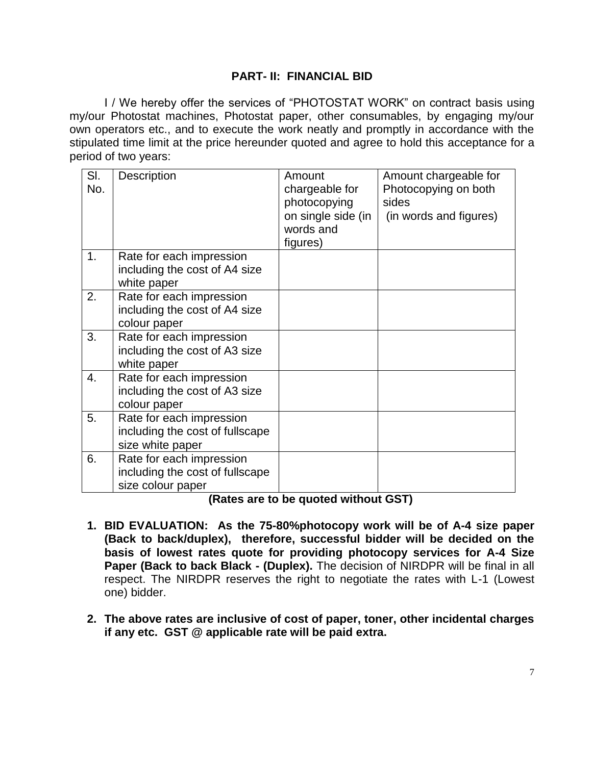#### **PART- II: FINANCIAL BID**

I / We hereby offer the services of "PHOTOSTAT WORK" on contract basis using my/our Photostat machines, Photostat paper, other consumables, by engaging my/our own operators etc., and to execute the work neatly and promptly in accordance with the stipulated time limit at the price hereunder quoted and agree to hold this acceptance for a period of two years:

| SI.<br>No. | Description                                                                      | Amount<br>chargeable for<br>photocopying<br>on single side (in<br>words and<br>figures) | Amount chargeable for<br>Photocopying on both<br>sides<br>(in words and figures) |
|------------|----------------------------------------------------------------------------------|-----------------------------------------------------------------------------------------|----------------------------------------------------------------------------------|
| 1.         | Rate for each impression<br>including the cost of A4 size<br>white paper         |                                                                                         |                                                                                  |
| 2.         | Rate for each impression<br>including the cost of A4 size<br>colour paper        |                                                                                         |                                                                                  |
| 3.         | Rate for each impression<br>including the cost of A3 size<br>white paper         |                                                                                         |                                                                                  |
| 4.         | Rate for each impression<br>including the cost of A3 size<br>colour paper        |                                                                                         |                                                                                  |
| 5.         | Rate for each impression<br>including the cost of fullscape<br>size white paper  |                                                                                         |                                                                                  |
| 6.         | Rate for each impression<br>including the cost of fullscape<br>size colour paper |                                                                                         |                                                                                  |

**(Rates are to be quoted without GST)**

- **1. BID EVALUATION: As the 75-80%photocopy work will be of A-4 size paper (Back to back/duplex), therefore, successful bidder will be decided on the basis of lowest rates quote for providing photocopy services for A-4 Size Paper (Back to back Black - (Duplex).** The decision of NIRDPR will be final in all respect. The NIRDPR reserves the right to negotiate the rates with L-1 (Lowest one) bidder.
- **2. The above rates are inclusive of cost of paper, toner, other incidental charges if any etc. GST @ applicable rate will be paid extra.**